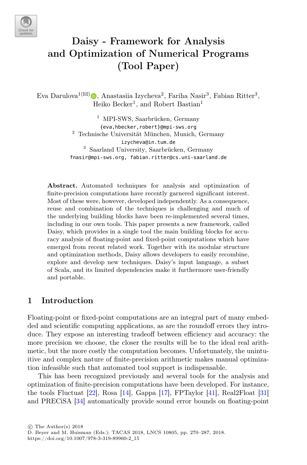

# Daisy - Framework for Analysis and Optimization of Numerical Programs (Tool Paper)

Eva Darulova<sup>1( $\boxtimes$ )</sup>  $\odot$ [,](http://orcid.org/0000-0002-6848-3163) Anastasiia Izycheva<sup>2</sup>, Fariha Nasir<sup>3</sup>, Fabian Ritter<sup>3</sup>, Heiko Becker<sup>1</sup>, and Robert Bastian<sup>1</sup>

> <sup>1</sup> MPI-SWS, Saarbrücken, Germany {eva,hbecker,robert}@mpi-sws.org <sup>2</sup> Technische Universität München, Munich, Germany izycheva@in.tum.de <sup>3</sup> Saarland University, Saarbrücken, Germany fnasir@mpi-sws.org, fabian.ritter@cs.uni-saarland.de

Abstract. Automated techniques for analysis and optimization of finite-precision computations have recently garnered significant interest. Most of these were, however, developed independently. As a consequence, reuse and combination of the techniques is challenging and much of the underlying building blocks have been re-implemented several times, including in our own tools. This paper presents a new framework, called Daisy, which provides in a single tool the main building blocks for accuracy analysis of floating-point and fixed-point computations which have emerged from recent related work. Together with its modular structure and optimization methods, Daisy allows developers to easily recombine, explore and develop new techniques. Daisy's input language, a subset of Scala, and its limited dependencies make it furthermore user-friendly and portable.

### 1 Introduction

Floating-point or fixed-point computations are an integral part of many embedded and scientific computing applications, as are the roundoff errors they introduce. They expose an interesting tradeoff between efficiency and accuracy: the more precision we choose, the closer the results will be to the ideal real arithmetic, but the more costly the computation becomes. Unfortunately, the unintuitive and complex nature of finite-precision arithmetic makes manual optimization infeasible such that automated tool support is indispensable.

This has been recognized previously and several tools for the analysis and optimization of finite-precision computations have been developed. For instance, the tools Fluctuat [\[22\]](#page-16-0), Rosa [\[14\]](#page-15-0), Gappa [\[17](#page-16-1)], FPTaylor [\[41](#page-17-0)], Real2Float [\[31](#page-16-2)] and PRECiSA [\[34](#page-16-3)] automatically provide sound error bounds on floating-point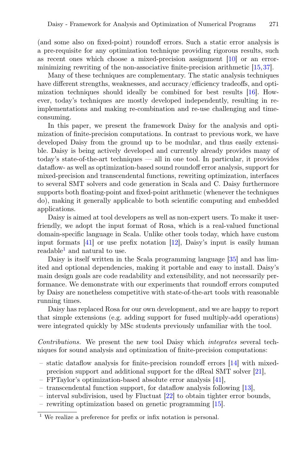(and some also on fixed-point) roundoff errors. Such a static error analysis is a pre-requisite for any optimization technique providing rigorous results, such as recent ones which choose a mixed-precision assignment [\[10\]](#page-15-1) or an errorminimizing rewriting of the non-associative finite-precision arithmetic [\[15](#page-15-2),[37\]](#page-17-1).

Many of these techniques are complementary. The static analysis techniques have different strengths, weaknesses, and accuracy/efficiency tradeoffs, and optimization techniques should ideally be combined for best results [\[16\]](#page-16-4). However, today's techniques are mostly developed independently, resulting in reimplementations and making re-combination and re-use challenging and timeconsuming.

In this paper, we present the framework Daisy for the analysis and optimization of finite-precision computations. In contrast to previous work, we have developed Daisy from the ground up to be modular, and thus easily extensible. Daisy is being actively developed and currently already provides many of today's state-of-the-art techniques — all in one tool. In particular, it provides dataflow- as well as optimization-based sound roundoff error analysis, support for mixed-precision and transcendental functions, rewriting optimization, interfaces to several SMT solvers and code generation in Scala and C. Daisy furthermore supports both floating-point and fixed-point arithmetic (whenever the techniques do), making it generally applicable to both scientific computing and embedded applications.

Daisy is aimed at tool developers as well as non-expert users. To make it userfriendly, we adopt the input format of Rosa, which is a real-valued functional domain-specific language in Scala. Unlike other tools today, which have custom input formats  $[41]$  $[41]$  or use prefix notation  $[12]$  $[12]$ , Daisy's input is easily human readable $<sup>1</sup>$  $<sup>1</sup>$  $<sup>1</sup>$  and natural to use.</sup>

Daisy is itself written in the Scala programming language [\[35](#page-16-5)] and has limited and optional dependencies, making it portable and easy to install. Daisy's main design goals are code readability and extensibility, and not necessarily performance. We demonstrate with our experiments that roundoff errors computed by Daisy are nonetheless competitive with state-of-the-art tools with reasonable running times.

Daisy has replaced Rosa for our own development, and we are happy to report that simple extensions (e.g. adding support for fused multiply-add operations) were integrated quickly by MSc students previously unfamiliar with the tool.

*Contributions.* We present the new tool Daisy which *integrates* several techniques for sound analysis and optimization of finite-precision computations:

- static dataflow analysis for finite-precision roundoff errors [\[14\]](#page-15-0) with mixedprecision support and additional support for the dReal SMT solver [\[21](#page-16-6)],
- FPTaylor's optimization-based absolute error analysis [\[41\]](#page-17-0),
- transcendental function support, for dataflow analysis following [\[13\]](#page-15-4),
- interval subdivision, used by Fluctuat [\[22\]](#page-16-0) to obtain tighter error bounds,
- rewriting optimization based on genetic programming [\[15\]](#page-15-2).

<span id="page-1-0"></span> $1$  We realize a preference for prefix or infix notation is personal.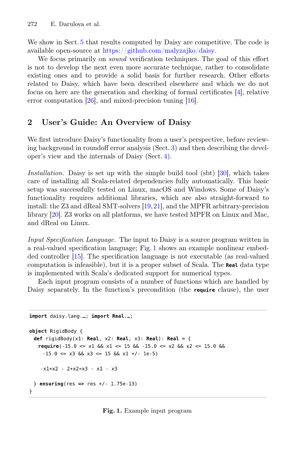We show in Sect. [5](#page-10-0) that results computed by Daisy are competitive. The code is available open-source at [https://github.com/malyzajko/daisy.](https://github.com/malyzajko/daisy)

We focus primarily on *sound* verification techniques. The goal of this effort is not to develop the next even more accurate technique, rather to consolidate existing ones and to provide a solid basis for further research. Other efforts related to Daisy, which have been described elsewhere and which we do not focus on here are the generation and checking of formal certificates [\[4](#page-15-5)], relative error computation [\[26\]](#page-16-7), and mixed-precision tuning [\[16](#page-16-4)].

## 2 User's Guide: An Overview of Daisy

We first introduce Daisy's functionality from a user's perspective, before reviewing background in roundoff error analysis (Sect. [3\)](#page-4-0) and then describing the developer's view and the internals of Daisy (Sect. [4\)](#page-7-0).

*Installation.* Daisy is set up with the simple build tool (sbt) [\[30\]](#page-16-8), which takes care of installing all Scala-related dependencies fully automatically. This basic setup was successfully tested on Linux, macOS and Windows. Some of Daisy's functionality requires additional libraries, which are also straight-forward to install: the Z3 and dReal SMT-solvers [\[19](#page-16-9),[21\]](#page-16-6), and the MPFR arbitrary-precision library [\[20\]](#page-16-10). Z3 works on all platforms, we have tested MPFR on Linux and Mac, and dReal on Linux.

*Input Specification Language.* The input to Daisy is a source program written in a real-valued specification language; Fig. [1](#page-2-0) shows an example nonlinear embedded controller [\[15\]](#page-15-2). The specification language is not executable (as real-valued computation is infeasible), but it is a proper subset of Scala. The **Real** data type is implemented with Scala's dedicated support for numerical types.

Each input program consists of a number of functions which are handled by Daisy separately. In the function's precondition (the **require** clause), the user

```
import daisy.lang._; import Real._;
object RigidBody {
 def rigidBody(x1: Real, x2: Real, x3: Real): Real = {
   require(-15.0 <= x1 & x1 <= 15 & -15.0 <= x2 & x2 <= 15.0 &
    -15.0 \le x3 & x3 \le x1 + (-1e-5)-x1*x2 - 2*x2*x3 - x1 - x3\} ensuring(res => res +/- 1.75e-13)
}
```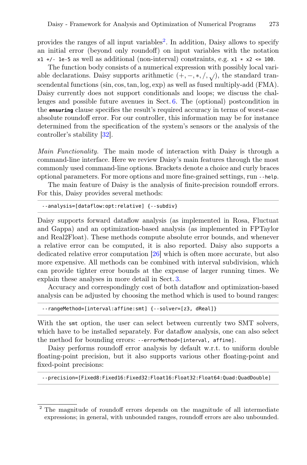provides the ranges of all input variables<sup>[2](#page-3-0)</sup>. In addition, Daisy allows to specify an initial error (beyond only roundoff) on input variables with the notation  $x1 +/- 1e-5$  as well as additional (non-interval) constraints, e.g.  $x1 + x2 \le 100$ .

The function body consists of a numerical expression with possibly local variable declarations. Daisy supports arithmetic  $(+, -, *, /, \sqrt{)}$ , the standard transcendental functions (sin, cos, tan, log, exp) as well as fused multiply-add (FMA). Daisy currently does not support conditionals and loops; we discuss the challenges and possible future avenues in Sect. [6.](#page-13-0) The (optional) postcondition in the **ensuring** clause specifies the result's required accuracy in terms of worst-case absolute roundoff error. For our controller, this information may be for instance determined from the specification of the system's sensors or the analysis of the controller's stability [\[32](#page-16-11)].

*Main Functionality.* The main mode of interaction with Daisy is through a command-line interface. Here we review Daisy's main features through the most commonly used command-line options. Brackets denote a choice and curly braces optional parameters. For more options and more fine-grained settings, run --help.

The main feature of Daisy is the analysis of finite-precision roundoff errors. For this, Daisy provides several methods:

```
--analysis=[dataflow:opt:relative] {--subdiv}
```
Daisy supports forward dataflow analysis (as implemented in Rosa, Fluctuat and Gappa) and an optimization-based analysis (as implemented in FPTaylor and Real2Float). These methods compute absolute error bounds, and whenever a relative error can be computed, it is also reported. Daisy also supports a dedicated relative error computation [\[26](#page-16-7)] which is often more accurate, but also more expensive. All methods can be combined with interval subdivision, which can provide tighter error bounds at the expense of larger running times. We explain these analyses in more detail in Sect. [3.](#page-4-0)

Accuracy and correspondingly cost of both dataflow and optimization-based analysis can be adjusted by choosing the method which is used to bound ranges:

```
--rangeMethod=[interval:affine:smt] {--solver=[z3, dReal]}
```
With the smt option, the user can select between currently two SMT solvers, which have to be installed separately. For dataflow analysis, one can also select the method for bounding errors: --errorMethod=[interval, affine].

Daisy performs roundoff error analysis by default w.r.t. to uniform double floating-point precision, but it also supports various other floating-point and fixed-point precisions:

--precision=[Fixed8:Fixed16:Fixed32:Float16:Float32:Float64:Quad:QuadDouble]

<span id="page-3-0"></span><sup>2</sup> The magnitude of roundoff errors depends on the magnitude of all intermediate expressions; in general, with unbounded ranges, roundoff errors are also unbounded.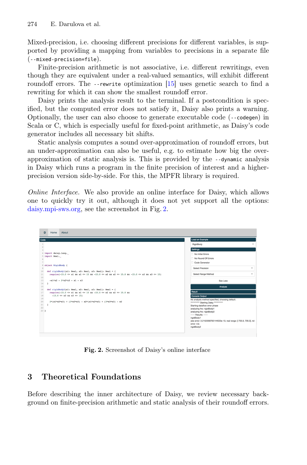Mixed-precision, i.e. choosing different precisions for different variables, is supported by providing a mapping from variables to precisions in a separate file (--mixed-precision=file).

Finite-precision arithmetic is not associative, i.e. different rewritings, even though they are equivalent under a real-valued semantics, will exhibit different roundoff errors. The --rewrite optimization [\[15\]](#page-15-2) uses genetic search to find a rewriting for which it can show the smallest roundoff error.

Daisy prints the analysis result to the terminal. If a postcondition is specified, but the computed error does not satisfy it, Daisy also prints a warning. Optionally, the user can also choose to generate executable code (--codegen) in Scala or C, which is especially useful for fixed-point arithmetic, as Daisy's code generator includes all necessary bit shifts.

Static analysis computes a sound over-approximation of roundoff errors, but an under-approximation can also be useful, e.g. to estimate how big the overapproximation of static analysis is. This is provided by the --dynamic analysis in Daisy which runs a program in the finite precision of interest and a higherprecision version side-by-side. For this, the MPFR library is required.

*Online Interface.* We also provide an online interface for Daisy, which allows one to quickly try it out, although it does not yet support all the options: [daisy.mpi-sws.org,](http://www.daisy.mpi-sws.org) see the screenshot in Fig. [2.](#page-4-1)



<span id="page-4-1"></span>Fig. 2. Screenshot of Daisy's online interface

# <span id="page-4-0"></span>3 Theoretical Foundations

Before describing the inner architecture of Daisy, we review necessary background on finite-precision arithmetic and static analysis of their roundoff errors.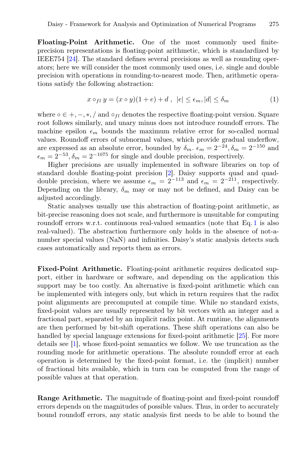Floating-Point Arithmetic. One of the most commonly used finiteprecision representations is floating-point arithmetic, which is standardized by IEEE754 [\[24](#page-16-12)]. The standard defines several precisions as well as rounding operators; here we will consider the most commonly used ones, i.e. single and double precision with operations in rounding-to-nearest mode. Then, arithmetic operations satisfy the following abstraction:

<span id="page-5-0"></span>
$$
x \circ_{fl} y = (x \circ y)(1 + e) + d , |e| \le \epsilon_m, |d| \le \delta_m
$$
 (1)

where  $\circ \in +, -, *, /$  and  $\circ_{fl}$  denotes the respective floating-point version. Square root follows similarly, and unary minus does not introduce roundoff errors. The machine epsilon  $\epsilon_m$  bounds the maximum relative error for so-called normal values. Roundoff errors of subnormal values, which provide gradual underflow, are expressed as an absolute error, bounded by  $\delta_m$ .  $\epsilon_m = 2^{-24}, \delta_m = 2^{-150}$  and  $\epsilon_m = 2^{-53}$   $\delta_m = 2^{-1075}$  for single and double precision respectively.  $\epsilon_m = 2^{-53}, \delta_m = 2^{-1075}$  for single and double precision, respectively.<br>Higher precisions are usually implemented in software libraries

Higher precisions are usually implemented in software libraries on top of standard double floating-point precision [\[2](#page-15-6)]. Daisy supports quad and quaddouble precision, where we assume  $\epsilon_m = 2^{-113}$  and  $\epsilon_m = 2^{-211}$ , respectively.<br>Depending on the library  $\delta_m$  may or may not be defined and Daisy can be Depending on the library,  $\delta_m$  may or may not be defined, and Daisy can be adjusted accordingly.

Static analyses usually use this abstraction of floating-point arithmetic, as bit-precise reasoning does not scale, and furthermore is unsuitable for computing roundoff errors w.r.t. continuous real-valued semantics (note that Eq. [1](#page-5-0) is also real-valued). The abstraction furthermore only holds in the absence of not-anumber special values (NaN) and infinities. Daisy's static analysis detects such cases automatically and reports them as errors.

Fixed-Point Arithmetic. Floating-point arithmetic requires dedicated support, either in hardware or software, and depending on the application this support may be too costly. An alternative is fixed-point arithmetic which can be implemented with integers only, but which in return requires that the radix point alignments are precomputed at compile time. While no standard exists, fixed-point values are usually represented by bit vectors with an integer and a fractional part, separated by an implicit radix point. At runtime, the alignments are then performed by bit-shift operations. These shift operations can also be handled by special language extensions for fixed-point arithmetic [\[25](#page-16-13)]. For more details see [\[1](#page-15-7)], whose fixed-point semantics we follow. We use truncation as the rounding mode for arithmetic operations. The absolute roundoff error at each operation is determined by the fixed-point format, i.e. the (implicit) number of fractional bits available, which in turn can be computed from the range of possible values at that operation.

Range Arithmetic. The magnitude of floating-point and fixed-point roundoff errors depends on the magnitudes of possible values. Thus, in order to accurately bound roundoff errors, any static analysis first needs to be able to bound the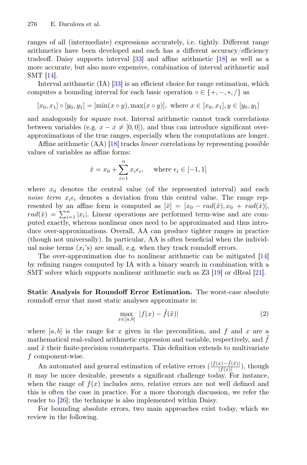ranges of all (intermediate) expressions accurately, i.e. tightly. Different range arithmetics have been developed and each has a different accuracy/efficiency tradeoff. Daisy supports interval [\[33](#page-16-14)] and affine arithmetic [\[18\]](#page-16-15) as well as a more accurate, but also more expensive, combination of interval arithmetic and SMT [\[14](#page-15-0)].

Interval arithmetic (IA) [\[33](#page-16-14)] is an efficient choice for range estimation, which computes a bounding interval for each basic operation  $\circ \in \{+, -, *, /\}$  as

$$
[x_0, x_1] \circ [y_0, y_1] = [\min(x \circ y), \max(x \circ y)], \text{ where } x \in [x_0, x_1], y \in [y_0, y_1]
$$

and analogously for square root. Interval arithmetic cannot track correlations between variables (e.g.  $x - x \neq [0, 0]$ ), and thus can introduce significant overapproximations of the true ranges, especially when the computations are longer.

Affine arithmetic (AA) [\[18\]](#page-16-15) tracks *linear* correlations by representing possible values of variables as affine forms:

$$
\hat{x} = x_0 + \sum_{i=1}^n x_i \epsilon_i, \quad \text{where } \epsilon_i \in [-1, 1]
$$

where  $x_0$  denotes the central value (of the represented interval) and each *noise term*  $x_i \epsilon_i$  denotes a deviation from this central value. The range represented by an affine form is computed as  $[\hat{x}]=[x_0 - rad(\hat{x}), x_0 + rad(\hat{x})],$  $rad(\hat{x}) = \sum_{i=1}^{n} |x_i|$ . Linear operations are performed term-wise and are com-<br>puted exactly whereas nonlinear ones need to be approximated and thus introputed exactly, whereas nonlinear ones need to be approximated and thus introduce over-approximations. Overall, AA can produce tighter ranges in practice (though not universally). In particular, AA is often beneficial when the individual noise terms  $(x_i)$  are small, e.g. when they track roundoff errors.

The over-approximation due to nonlinear arithmetic can be mitigated [\[14](#page-15-0)] by refining ranges computed by IA with a binary search in combination with a SMT solver which supports nonlinear arithmetic such as Z3 [\[19\]](#page-16-9) or dReal [\[21](#page-16-6)].

Static Analysis for Roundoff Error Estimation. The worst-case absolute roundoff error that most static analyses approximate is:

<span id="page-6-0"></span>
$$
\max_{x \in [a,b]} |f(x) - \tilde{f}(\tilde{x})|
$$
\n(2)

where  $[a, b]$  is the range for x given in the precondition, and f and x are a mathematical real-valued arithmetic expression and variable, respectively, and  $f$ and  $\tilde{x}$  their finite-precision counterparts. This definition extends to multivariate f component-wise.

An automated and general estimation of relative errors  $(\frac{|f(x)-f(\tilde{x})|}{|f(x)|})$ , though it may be more desirable, presents a significant challenge today. For instance, when the range of  $f(x)$  includes zero, relative errors are not well defined and this is often the case in practice. For a more thorough discussion, we refer the reader to [\[26\]](#page-16-7); the technique is also implemented within Daisy.

For bounding absolute errors, two main approaches exist today, which we review in the following.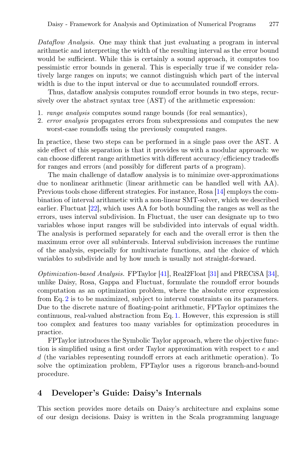*Dataflow Analysis.* One may think that just evaluating a program in interval arithmetic and interpreting the width of the resulting interval as the error bound would be sufficient. While this is certainly a sound approach, it computes too pessimistic error bounds in general. This is especially true if we consider relatively large ranges on inputs; we cannot distinguish which part of the interval width is due to the input interval or due to accumulated roundoff errors.

Thus, dataflow analysis computes roundoff error bounds in two steps, recursively over the abstract syntax tree (AST) of the arithmetic expression:

- 1. *range analysis* computes sound range bounds (for real semantics),
- 2. *error analysis* propagates errors from subexpressions and computes the new worst-case roundoffs using the previously computed ranges.

In practice, these two steps can be performed in a single pass over the AST. A side effect of this separation is that it provides us with a modular approach: we can choose different range arithmetics with different accuracy/efficiency tradeoffs for ranges and errors (and possibly for different parts of a program).

The main challenge of dataflow analysis is to minimize over-approximations due to nonlinear arithmetic (linear arithmetic can be handled well with AA). Previous tools chose different strategies. For instance, Rosa [\[14\]](#page-15-0) employs the combination of interval arithmetic with a non-linear SMT-solver, which we described earlier. Fluctuat [\[22](#page-16-0)], which uses AA for both bounding the ranges as well as the errors, uses interval subdivision. In Fluctuat, the user can designate up to two variables whose input ranges will be subdivided into intervals of equal width. The analysis is performed separately for each and the overall error is then the maximum error over all subintervals. Interval subdivision increases the runtime of the analysis, especially for multivariate functions, and the choice of which variables to subdivide and by how much is usually not straight-forward.

*Optimization-based Analysis.* FPTaylor [\[41](#page-17-0)], Real2Float [\[31\]](#page-16-2) and PRECiSA [\[34\]](#page-16-3), unlike Daisy, Rosa, Gappa and Fluctuat, formulate the roundoff error bounds computation as an optimization problem, where the absolute error expression from Eq. [2](#page-6-0) is to be maximized, subject to interval constraints on its parameters. Due to the discrete nature of floating-point arithmetic, FPTaylor optimizes the continuous, real-valued abstraction from Eq. [1.](#page-5-0) However, this expression is still too complex and features too many variables for optimization procedures in practice.

FPTaylor introduces the Symbolic Taylor approach, where the objective function is simplified using a first order Taylor approximation with respect to e and d (the variables representing roundoff errors at each arithmetic operation). To solve the optimization problem, FPTaylor uses a rigorous branch-and-bound procedure.

#### <span id="page-7-0"></span>4 Developer's Guide: Daisy's Internals

This section provides more details on Daisy's architecture and explains some of our design decisions. Daisy is written in the Scala programming language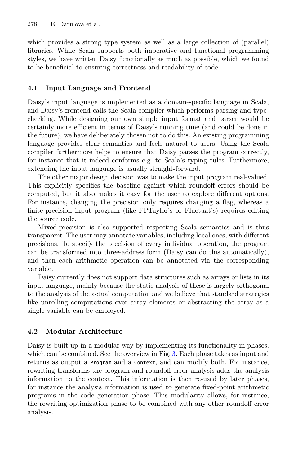which provides a strong type system as well as a large collection of (parallel) libraries. While Scala supports both imperative and functional programming styles, we have written Daisy functionally as much as possible, which we found to be beneficial to ensuring correctness and readability of code.

#### 4.1 Input Language and Frontend

Daisy's input language is implemented as a domain-specific language in Scala, and Daisy's frontend calls the Scala compiler which performs parsing and typechecking. While designing our own simple input format and parser would be certainly more efficient in terms of Daisy's running time (and could be done in the future), we have deliberately chosen not to do this. An existing programming language provides clear semantics and feels natural to users. Using the Scala compiler furthermore helps to ensure that Daisy parses the program correctly, for instance that it indeed conforms e.g. to Scala's typing rules. Furthermore, extending the input language is usually straight-forward.

The other major design decision was to make the input program real-valued. This explicitly specifies the baseline against which roundoff errors should be computed, but it also makes it easy for the user to explore different options. For instance, changing the precision only requires changing a flag, whereas a finite-precision input program (like FPTaylor's or Fluctuat's) requires editing the source code.

Mixed-precision is also supported respecting Scala semantics and is thus transparent. The user may annotate variables, including local ones, with different precisions. To specify the precision of every individual operation, the program can be transformed into three-address form (Daisy can do this automatically), and then each arithmetic operation can be annotated via the corresponding variable.

Daisy currently does not support data structures such as arrays or lists in its input language, mainly because the static analysis of these is largely orthogonal to the analysis of the actual computation and we believe that standard strategies like unrolling computations over array elements or abstracting the array as a single variable can be employed.

### 4.2 Modular Architecture

Daisy is built up in a modular way by implementing its functionality in phases, which can be combined. See the overview in Fig. [3.](#page-9-0) Each phase takes as input and returns as output a Program and a Context, and can modify both. For instance, rewriting transforms the program and roundoff error analysis adds the analysis information to the context. This information is then re-used by later phases, for instance the analysis information is used to generate fixed-point arithmetic programs in the code generation phase. This modularity allows, for instance, the rewriting optimization phase to be combined with any other roundoff error analysis.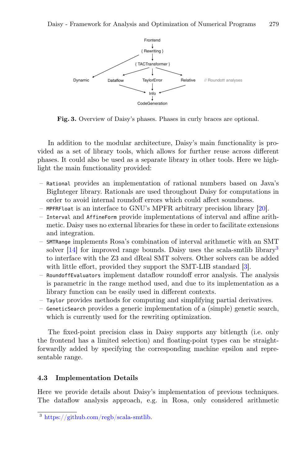

<span id="page-9-0"></span>Fig. 3. Overview of Daisy's phases. Phases in curly braces are optional.

In addition to the modular architecture, Daisy's main functionality is provided as a set of library tools, which allows for further reuse across different phases. It could also be used as a separate library in other tools. Here we highlight the main functionality provided:

- Rational provides an implementation of rational numbers based on Java's BigInteger library. Rationals are used throughout Daisy for computations in order to avoid internal roundoff errors which could affect soundness.
- MPFRFloat is an interface to GNU's MPFR arbitrary precision library [\[20](#page-16-10)].
- Interval and AffineForm provide implementations of interval and affine arithmetic. Daisy uses no external libraries for these in order to facilitate extensions and integration.
- SMTRange implements Rosa's combination of interval arithmetic with an SMT solver  $[14]$  $[14]$  for improved range bounds. Daisy uses the scala-smtlib library<sup>[3](#page-9-1)</sup> to interface with the Z3 and dReal SMT solvers. Other solvers can be added with little effort, provided they support the SMT-LIB standard [\[3](#page-15-8)].
- RoundoffEvaluators implement dataflow roundoff error analysis. The analysis is parametric in the range method used, and due to its implementation as a library function can be easily used in different contexts.
- Taylor provides methods for computing and simplifying partial derivatives.
- GeneticSearch provides a generic implementation of a (simple) genetic search, which is currently used for the rewriting optimization.

The fixed-point precision class in Daisy supports any bitlength (i.e. only the frontend has a limited selection) and floating-point types can be straightforwardly added by specifying the corresponding machine epsilon and representable range.

#### 4.3 Implementation Details

Here we provide details about Daisy's implementation of previous techniques. The dataflow analysis approach, e.g. in Rosa, only considered arithmetic

<span id="page-9-1"></span><sup>3</sup> [https://github.com/regb/scala-smtlib.](https://github.com/regb/scala-smtlib)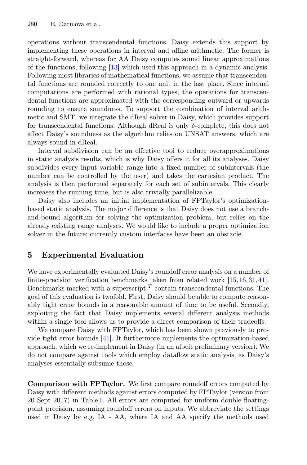operations without transcendental functions. Daisy extends this support by implementing these operations in interval and affine arithmetic. The former is straight-forward, whereas for AA Daisy computes sound linear approximations of the functions, following [\[13](#page-15-4)] which used this approach in a dynamic analysis. Following most libraries of mathematical functions, we assume that transcendental functions are rounded correctly to one unit in the last place. Since internal computations are performed with rational types, the operations for transcendental functions are approximated with the corresponding outward or upwards rounding to ensure soundness. To support the combination of interval arithmetic and SMT, we integrate the dReal solver in Daisy, which provides support for transcendental functions. Although dReal is only  $\delta$ -complete, this does not affect Daisy's soundness as the algorithm relies on UNSAT answers, which are always sound in dReal.

Interval subdivision can be an effective tool to reduce overapproximations in static analysis results, which is why Daisy offers it for all its analyses. Daisy subdivides every input variable range into a fixed number of subintervals (the number can be controlled by the user) and takes the cartesian product. The analysis is then performed separately for each set of subintervals. This clearly increases the running time, but is also trivially parallelizable.

Daisy also includes an initial implementation of FPTaylor's optimizationbased static analysis. The major difference is that Daisy does not use a branchand-bound algorithm for solving the optimization problem, but relies on the already existing range analyses. We would like to include a proper optimization solver in the future; currently custom interfaces have been an obstacle.

### <span id="page-10-0"></span>5 Experimental Evaluation

We have experimentally evaluated Daisy's roundoff error analysis on a number of finite-precision verification benchmarks taken from related work [\[15,](#page-15-2)[16](#page-16-4)[,31,](#page-16-2)[41\]](#page-17-0). Benchmarks marked with a superscript  $T$  contain transcendental functions. The goal of this evaluation is twofold. First, Daisy should be able to compute reasonably tight error bounds in a reasonable amount of time to be useful. Secondly, exploiting the fact that Daisy implements several different analysis methods within a single tool allows us to provide a direct comparison of their tradeoffs.

We compare Daisy with FPTaylor, which has been shown previously to provide tight error bounds [\[41](#page-17-0)]. It furthermore implements the optimization-based approach, which we re-implement in Daisy (in an albeit preliminary version). We do not compare against tools which employ dataflow static analysis, as Daisy's analyses essentially subsume those.

Comparison with FPTaylor. We first compare roundoff errors computed by Daisy with different methods against errors computed by FPTaylor (version from 20 Sept 2017) in Table [1.](#page-11-0) All errors are computed for uniform double floatingpoint precision, assuming roundoff errors on inputs. We abbreviate the settings used in Daisy by e.g. IA - AA, where IA and AA specify the methods used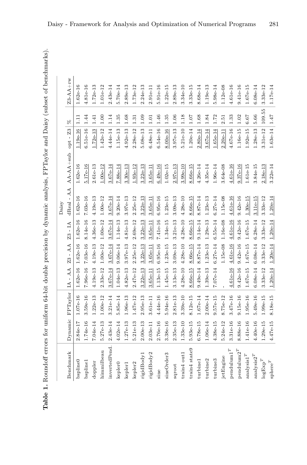| l<br>l                            |
|-----------------------------------|
| l                                 |
|                                   |
|                                   |
|                                   |
| i<br>ı<br>ļ<br>١                  |
| İ                                 |
| i<br>$\frac{1}{2}$                |
| i<br>E                            |
| .<br>I                            |
| i                                 |
| c<br>Í<br>į<br>$\overline{a}$     |
| j                                 |
| $\ddot{\phantom{a}}$              |
| i                                 |
| Ξ<br>l                            |
|                                   |
|                                   |
| ĺ<br>j                            |
| $\sim$<br>ı<br>֦<br>$\sim$        |
|                                   |
| j                                 |
| ٤<br>l                            |
| ļ                                 |
| I<br>Ì                            |
| La DI<br>$\overline{1}$<br>J<br>E |

<span id="page-11-0"></span>

|                                                                                         |            |                  |            |             |            | Daisy      |                          |                     |          |            |
|-----------------------------------------------------------------------------------------|------------|------------------|------------|-------------|------------|------------|--------------------------|---------------------|----------|------------|
| Benchmark                                                                               |            | Dynamic FPTaylor | $IA - AA$  | $Z3 - AA$   | $Z3 - IA$  |            | $dReal - AA$ $AA-AA+sub$ | $opt - Z3$          | $\aleph$ | $Z3-AA+rw$ |
| bspline0                                                                                | $2.84e-17$ | $1.07e-16$       | $1.62e-16$ | $1.62e-16$  | $1.62e-16$ | $1.62e-16$ | $1.62e-16$               | 1.19e-16            | 1.11     | $1.62e-16$ |
| bspline1                                                                                | 1.74e-16   | $3.59e-16$       | 7.96e-16   | $7.03e-16$  | 8.14e-16   | $7.03e-16$ | $5.17e-16$               | $6.51e-16$          | 1.44     | $4.81e-16$ |
| doppler                                                                                 | $7.04e-14$ | $1.22e-13$       | $4.19e-13$ | $4.19e-13$  | $4.36e-13$ | 4.19e-13   | $2.61e-13$               | $1.72e-13$          | 1.41     | $1.72e-13$ |
| himmilbeau                                                                              | $5.27e-13$ | $1.00e-12$       | $2.33e-12$ | $1.00e-12$  | $1.00e-12$ | $1.00e-12$ | $1.00e-12$               | $1.42e-12$          | 1.00     | $1.01e-12$ |
| invertedPend.                                                                           | $2.43e-14$ | $3.21e-14$       | 3.67e-14   | $3.67e-14$  | $3.67e-14$ | $3.67e-14$ | $3.67e-14$               | 4.44e-14            | 1.14     | $2.43e-14$ |
| kepler <sub>0</sub>                                                                     | $4.02e-14$ | $5.85e-14$       | 1.04e-13   | $9.06e-14$  | 1.14e-13   | $9.20e-14$ | 7.88e-14                 | 1.15e-13            | 1.35     | 5.70e-14   |
| kepler <sub>1</sub>                                                                     | $1.27e-13$ | $1.96e-13$       | $4.82e-13$ | $3.97e-13$  | $4.81e-13$ | 3.97e-13   | $3.30e-13$               | $4.92e-13$          | 1.68     | $2.89e-13$ |
| kepler2                                                                                 | $5.21e-13$ | $1.47e-12$       | $2.47e-12$ | $2.25e-12$  | $2.69e-12$ | $2.25e-12$ | 1.93e-12                 | $2.28e-12$          | 1.31     | 1.73e-12   |
| rigidBody1                                                                              | $2.00e-13$ | $2.95e-13$       | $3.22e-13$ | $3.22e-13$  | $3.22e-13$ | $3.22e-13$ | $3.22e-13$               | $5.08e-13$          | 1.09     | $2.24e-13$ |
| rigidBody2                                                                              | $2.03e-11$ | $3.61e-11$       | $3.65e-11$ | $3.65e-11$  | $3.65e-11$ | $3.65e-11$ | $3.65e-11$               | $6.48e-11$          | $1.01\,$ | $2.91e-11$ |
| sine                                                                                    | 2.76e-16   | 4.44e-16         | 1.13e-15   | $6.95 - 16$ | 7.41e-16   | $6.95e-16$ | $6.49e-16$               | 6.54e-16            | 1.46     | $5.91e-16$ |
| sineOrder3                                                                              | $3.38e-16$ | $5.94e-16$       | 1.45e-15   | $1.23e-15$  | $1.34e-15$ | $1.23e-15$ | $1.02e-15$               | 8.00e-16            | 1.35     | $1.22e-15$ |
| sqroot                                                                                  | $2.35e-13$ | $2.81e-13$       | $3.13e-13$ | $3.09e-13$  | $3.21e-13$ | $3.09e-13$ | $2.97e-13$               | 3.97e-13            | 1.06     | $2.89e-13$ |
| train4 out1                                                                             | $1.33e-10$ | $3.39e-10$       | $4.28e-10$ | $4.28e-10$  | $4.28e-10$ | 4.28e-10   | 3.99e-10                 | $5.21e-10$          | 1.18     | $3.34e-10$ |
| train4 state9                                                                           | $5.93e-15$ | $8.12e-15$       | 8.66e-15   | 8.66e-15    | 8.66e-15   | 8.66e-15   | 8.66e-15                 | $1.20e-14$          | 1.07     | $3.33e-15$ |
| turbinel                                                                                | 6.78e-15   | 1.67e-14         | $9.49e-14$ | 8.87e-14    | 9.14e-14   | 8.87e-14   | $4.26e-14$               | $2.80e-14$          | $1.68\,$ | 8.68e-14   |
| turbine2                                                                                | $1.06e-14$ | $2.00e-14$       | $1.39e-13$ | $1.23e-13$  | $1.29e-13$ | $1.23e-13$ | $4.35e-14$               | 3.67e-14            | 1.84     | $1.19e-13$ |
| turbine3                                                                                | $4.38e-15$ | $9.57e-15$       | $7.07e-14$ | $6.27e-14$  | $6.55e-14$ | $6.27e-14$ | 1.96e-14                 | 1.65e-14            | $1.72\,$ | $5.98e-14$ |
| jetEngine                                                                               | $5.24e-12$ | 8.75e-12         |            | 1.15e-08    | 1.16e-08   | $1.15e-08$ | 3.64e-08                 | $2.20e-11$          | 2.51     | $1.12e-08$ |
| $\rm pendulum1^{T}$                                                                     | $3.31e-16$ | $3.47e - 16$     | 4.61e-16   | $4.61e-16$  | $4.61e-16$ | 4.61e-16   | $4.61e-16$               | 4.67e-16            | 1.33     | $4.61e-16$ |
| $\rm pendulum2^{T}$                                                                     | 8.88e-16   | $9.15 - 16$      | $9.42e-16$ | $9.42e-16$  | $9.42e-16$ | $9.42e-16$ | $9.37e-16$               | $1.16e-15$          | 1.02     | $9.41e-16$ |
| $% \left\vert \left( \mathbf{1}_{\mathbf{1}}\right) \right\rangle$ analysis<br>1 $^{T}$ | $1.41e-16$ | 1.95e-16         | 1.67e-15   | 1.67e-15    | $1.67e-15$ | $1.30e-15$ | $1.61e-15$               | $1.92e-15$          | 6.67     | $1.67e-15$ |
| $\mathrm{analysis}T$                                                                    | $4.40e-16$ | $5.49e-16$       | $6.08e-14$ | $6.08e-14$  | $6.28e-14$ | $3.11e-15$ | 3.84e-15                 | 1.28e-13            | 5.66     | $6.08e-14$ |
| $\mathrm{log} \mathbf{Exp}^T$                                                           | $1.29e-15$ | $1.99e-15$       | $3.33e-12$ | $3.33e-12$  | $3.33e-12$ | $3.33e-12$ | 2.18e-13                 | 3.31e-12            | 109.55   | $3.33e-12$ |
| $\ensuremath{\mathrm{sphere}}^T$                                                        | $4.47e-15$ | 8.18e-15         | $1.20e-14$ | $1.20e-14$  | $1.20e-14$ | $1.20e-14$ | $3.22e-14$               | $1.63e-14$   $1.47$ |          | 1.17e-14   |

Daisy - Framework for Analysis and Optimization of Numerical Programs 281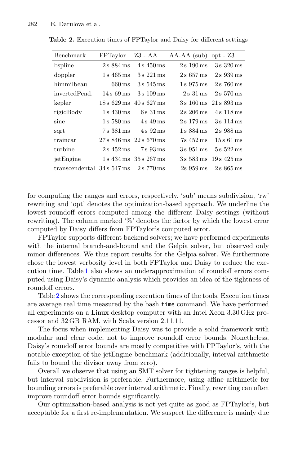<span id="page-12-0"></span>

| Benchmark                                 | FPTaylor                          | Z3 - AA                                                    | $AA-AA$ (sub)                        | $opt - Z3$                                               |
|-------------------------------------------|-----------------------------------|------------------------------------------------------------|--------------------------------------|----------------------------------------------------------|
| bspline                                   | 2 s 884 ms                        | 4 s 450 ms                                                 | $2 s 190 \,\mathrm{ms}$              | $3 s 320$ ms                                             |
| doppler                                   | $1\,\mathrm{s}\,465\,\mathrm{ms}$ | 3 s 221 ms                                                 | $2\,\mathrm{s}$ 657 ms               | $2 s 939$ ms                                             |
| himmilbeau                                | 660 ms                            | 3s.545ms                                                   | $1\,\mathrm{s}\;975\,\mathrm{ms}$    | $2 s 760 \,\mathrm{ms}$                                  |
| invertedPend.                             | $14 s 69 \,\mathrm{ms}$           | $3 s 109 \,\mathrm{ms}$                                    | 2 s 31 ms                            | $2 s 570 \,\mathrm{ms}$                                  |
| kepler                                    |                                   | $18 s 629 \,\mathrm{ms}$ $40 s 627 \,\mathrm{ms}$          |                                      | $3\,\mathrm{s}$ 160 ms $21\,\mathrm{s}$ 893 ms           |
| rigidBody                                 | $1\,\mathrm{s}\,430\,\mathrm{ms}$ | $6s31 \,\mathrm{ms}$                                       | $2\,\mathrm{s}\,$ $206\,\mathrm{ms}$ | 4s 118 ms                                                |
| sine                                      |                                   | $1 s 580 \,\mathrm{ms}$ $4 s 49 \,\mathrm{ms}$             |                                      | $2\,\mathrm{s}$ 179 ms $3\,\mathrm{s}$ 114 ms            |
| sqrt                                      |                                   | $7 \text{ s } 381 \text{ ms}$ $4 \text{ s } 92 \text{ ms}$ | 1 s 884 ms                           | 2 s 988 ms                                               |
| traincar                                  |                                   | $27 s 846 \,\mathrm{ms}$ $22 s 670 \,\mathrm{ms}$          | $7s\ 452\,\mathrm{ms}$               | 15 s 61 ms                                               |
| turbine                                   | $2\,\mathrm{s}\ 452\,\mathrm{ms}$ | 7 s 93 ms                                                  | $3\,\mathrm{s}\,951\,\mathrm{ms}$    | 5 s 522 ms                                               |
| jetEngine                                 |                                   | 1 s 434 ms 35 s 267 ms                                     |                                      | $3\,\mathrm{s}$ 583 ms $19\,\mathrm{s}$ 425 ms           |
| transcendental $34 s 547$ ms $2 s 770$ ms |                                   |                                                            |                                      | $2s\,959\,\mathrm{ms}$ $2\,\mathrm{s}\,865\,\mathrm{ms}$ |

Table 2. Execution times of FPTaylor and Daisy for different settings

for computing the ranges and errors, respectively. 'sub' means subdivision, 'rw' rewriting and 'opt' denotes the optimization-based approach. We underline the lowest roundoff errors computed among the different Daisy settings (without rewriting). The column marked '%' denotes the factor by which the lowest error computed by Daisy differs from FPTaylor's computed error.

FPTaylor supports different backend solvers; we have performed experiments with the internal branch-and-bound and the Gelpia solver, but observed only minor differences. We thus report results for the Gelpia solver. We furthermore chose the lowest verbosity level in both FPTaylor and Daisy to reduce the execution time. Table [1](#page-11-0) also shows an underapproximation of roundoff errors computed using Daisy's dynamic analysis which provides an idea of the tightness of roundoff errors.

Table [2](#page-12-0) shows the corresponding execution times of the tools. Execution times are average real time measured by the bash time command. We have performed all experiments on a Linux desktop computer with an Intel Xeon 3.30 GHz processor and 32 GB RAM, with Scala version 2.11.11.

The focus when implementing Daisy was to provide a solid framework with modular and clear code, not to improve roundoff error bounds. Nonetheless, Daisy's roundoff error bounds are mostly competitive with FPTaylor's, with the notable exception of the jetEngine benchmark (additionally, interval arithmetic fails to bound the divisor away from zero).

Overall we observe that using an SMT solver for tightening ranges is helpful, but interval subdivision is preferable. Furthermore, using affine arithmetic for bounding errors is preferable over interval arithmetic. Finally, rewriting can often improve roundoff error bounds significantly.

Our optimization-based analysis is not yet quite as good as FPTaylor's, but acceptable for a first re-implementation. We suspect the difference is mainly due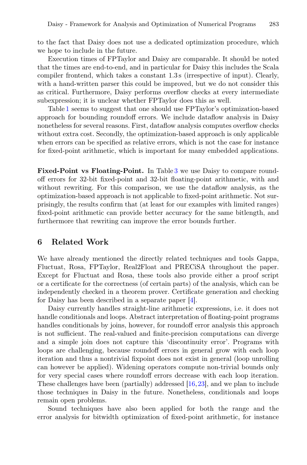to the fact that Daisy does not use a dedicated optimization procedure, which we hope to include in the future.

Execution times of FPTaylor and Daisy are comparable. It should be noted that the times are end-to-end, and in particular for Daisy this includes the Scala compiler frontend, which takes a constant 1.3 s (irrespective of input). Clearly, with a hand-written parser this could be improved, but we do not consider this as critical. Furthermore, Daisy performs overflow checks at every intermediate subexpression; it is unclear whether FPTaylor does this as well.

Table [1](#page-11-0) seems to suggest that one should use FPTaylor's optimization-based approach for bounding roundoff errors. We include dataflow analysis in Daisy nonetheless for several reasons. First, dataflow analysis computes overflow checks without extra cost. Secondly, the optimization-based approach is only applicable when errors can be specified as relative errors, which is not the case for instance for fixed-point arithmetic, which is important for many embedded applications.

Fixed-Point vs Floating-Point. In Table [3](#page-14-0) we use Daisy to compare roundoff errors for 32-bit fixed-point and 32-bit floating-point arithmetic, with and without rewriting. For this comparison, we use the dataflow analysis, as the optimization-based approach is not applicable to fixed-point arithmetic. Not surprisingly, the results confirm that (at least for our examples with limited ranges) fixed-point arithmetic can provide better accuracy for the same bitlength, and furthermore that rewriting can improve the error bounds further.

#### <span id="page-13-0"></span>6 Related Work

We have already mentioned the directly related techniques and tools Gappa, Fluctuat, Rosa, FPTaylor, Real2Float and PRECiSA throughout the paper. Except for Fluctuat and Rosa, these tools also provide either a proof script or a certificate for the correctness (of certain parts) of the analysis, which can be independently checked in a theorem prover. Certificate generation and checking for Daisy has been described in a separate paper [\[4](#page-15-5)].

Daisy currently handles straight-line arithmetic expressions, i.e. it does not handle conditionals and loops. Abstract interpretation of floating-point programs handles conditionals by joins, however, for roundoff error analysis this approach is not sufficient. The real-valued and finite-precision computations can diverge and a simple join does not capture this 'discontinuity error'. Programs with loops are challenging, because roundoff errors in general grow with each loop iteration and thus a nontrivial fixpoint does not exist in general (loop unrolling can however be applied). Widening operators compute non-trivial bounds only for very special cases where roundoff errors decrease with each loop iteration. These challenges have been (partially) addressed [\[16](#page-16-4)[,23](#page-16-16)], and we plan to include those techniques in Daisy in the future. Nonetheless, conditionals and loops remain open problems.

Sound techniques have also been applied for both the range and the error analysis for bitwidth optimization of fixed-point arithmetic, for instance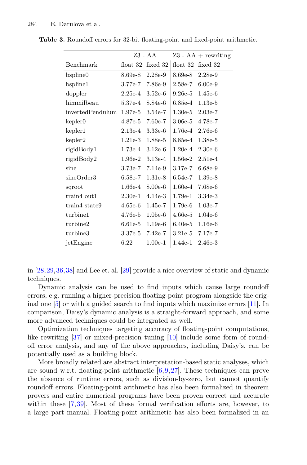<span id="page-14-0"></span>

|                     |               | Z3 - AA    |            | $Z3 - AA +$ rewriting |
|---------------------|---------------|------------|------------|-----------------------|
| Benchmark           | float $32$    | fixed $32$ | float $32$ | fixed 32              |
| bspline0            | 8.69e-8       | $2.28e-9$  | 8.69e-8    | $2.28e-9$             |
| bspline1            | $3.77e-7$     | 7.86e-9    | $2.58e-7$  | $6.00e-9$             |
| doppler             | $2.25e-4$     | $3.52e-6$  | 9.26e-5    | $1.45e-6$             |
| himmilbeau          | 5.37e-4       | 8.84e-6    | 6.85e-4    | $1.13e-5$             |
| invertedPendulum    | $1.97e-5$     | 3.54e-7    | $1.30e-5$  | $2.03e-7$             |
| kepler <sub>0</sub> | $4.87e-5$     | $7.60e-7$  | $3.06e-5$  | 4.78e-7               |
| kepler1             | 2.13e-4       | $3.33e-6$  | $1.76e-4$  | $2.76e-6$             |
| kepler2             | $1.21e-3$     | $1.88e-5$  | 8.85e-4    | $1.38e-5$             |
| rigidBody1          | $1.73e-4$     | $3.12e-6$  | $1.20e-4$  | $2.30e-6$             |
| rigidBody2          | $1.96e-2$     | $3.13e-4$  | $1.56e-2$  | $2.51e-4$             |
| sine                | $3.73e-7$     | $7.14e-9$  | 3.17e-7    | $6.68e-9$             |
| sineOrder3          | 6.58e-7       | $1.31e-8$  | $6.54e-7$  | $1.39e-8$             |
| sqroot              | $1.66e-4$     | $8.00e-6$  | $1.60e-4$  | 7.68e-6               |
| train4 out1         | $2.30e-1$     | $4.14e-3$  | $1.79e-1$  | $3.34e-3$             |
| train4 state9       | $4.65e-6$     | $1.45e-7$  | $1.79e-6$  | $1.03e-7$             |
| turbine1            | $4.76e-5$     | $1.05e-6$  | 4.66e-5    | $1.04e-6$             |
| turbine2            | $6.61e-5$     | $1.19e-6$  | $6.40e-5$  | $1.16e-6$             |
| turbine3            | $3.37$ e- $5$ | 7.42e-7    | $3.21e-5$  | 7.17e-7               |
| jetEngine           | 6.22          | $1.00e-1$  | $1.44e-1$  | $2.46e-3$             |

Table 3. Roundoff errors for 32-bit floating-point and fixed-point arithmetic.

in [\[28,](#page-16-17)[29](#page-16-18)[,36](#page-16-19)[,38](#page-17-2)] and Lee et. al. [\[29](#page-16-18)] provide a nice overview of static and dynamic techniques.

Dynamic analysis can be used to find inputs which cause large roundoff errors, e.g. running a higher-precision floating-point program alongside the original one [\[5\]](#page-15-9) or with a guided search to find inputs which maximize errors [\[11\]](#page-15-10). In comparison, Daisy's dynamic analysis is a straight-forward approach, and some more advanced techniques could be integrated as well.

Optimization techniques targeting accuracy of floating-point computations, like rewriting [\[37\]](#page-17-1) or mixed-precision tuning [\[10\]](#page-15-1) include some form of roundoff error analysis, and any of the above approaches, including Daisy's, can be potentially used as a building block.

More broadly related are abstract interpretation-based static analyses, which are sound w.r.t. floating-point arithmetic  $[6,9,27]$  $[6,9,27]$  $[6,9,27]$  $[6,9,27]$ . These techniques can prove the absence of runtime errors, such as division-by-zero, but cannot quantify roundoff errors. Floating-point arithmetic has also been formalized in theorem provers and entire numerical programs have been proven correct and accurate within these [\[7](#page-15-13)[,39](#page-17-3)]. Most of these formal verification efforts are, however, to a large part manual. Floating-point arithmetic has also been formalized in an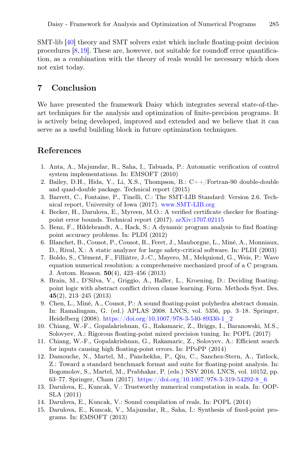SMT-lib [\[40\]](#page-17-4) theory and SMT solvers exist which include floating-point decision procedures [\[8](#page-15-14),[19\]](#page-16-9). These are, however, not suitable for roundoff error quantification, as a combination with the theory of reals would be necessary which does not exist today.

## 7 Conclusion

We have presented the framework Daisy which integrates several state-of-theart techniques for the analysis and optimization of finite-precision programs. It is actively being developed, improved and extended and we believe that it can serve as a useful building block in future optimization techniques.

#### References

- <span id="page-15-7"></span>1. Anta, A., Majumdar, R., Saha, I., Tabuada, P.: Automatic verification of control system implementations. In: EMSOFT (2010)
- <span id="page-15-6"></span>2. Bailey, D.H., Hida, Y., Li, X.S., Thompson, B.: C++/Fortran-90 double-double and quad-double package. Technical report (2015)
- <span id="page-15-8"></span>3. Barrett, C., Fontaine, P., Tinelli, C.: The SMT-LIB Standard: Version 2.6. Technical report, University of Iowa (2017). [www.SMT-LIB.org](http://www.SMT-LIB.org)
- <span id="page-15-5"></span>4. Becker, H., Darulova, E., Myreen, M.O.: A verified certificate checker for floatingpoint error bounds. Technical report (2017). [arXiv:1707.02115](http://arxiv.org/abs/1707.02115)
- <span id="page-15-9"></span>5. Benz, F., Hildebrandt, A., Hack, S.: A dynamic program analysis to find floatingpoint accuracy problems. In: PLDI (2012)
- <span id="page-15-11"></span>6. Blanchet, B., Cousot, P., Cousot, R., Feret, J., Mauborgne, L., Miné, A., Monniaux, D., Rival, X.: A static analyzer for large safety-critical software. In: PLDI (2003)
- <span id="page-15-13"></span>7. Boldo, S., Clément, F., Filliâtre, J.-C., Mayero, M., Melquiond, G., Weis, P.: Wave equation numerical resolution: a comprehensive mechanized proof of a C program. J. Autom. Reason. 50(4), 423–456 (2013)
- <span id="page-15-14"></span>8. Brain, M., D'Silva, V., Griggio, A., Haller, L., Kroening, D.: Deciding floatingpoint logic with abstract conflict driven clause learning. Form. Methods Syst. Des. 45(2), 213–245 (2013)
- <span id="page-15-12"></span>9. Chen, L., Miné, A., Cousot, P.: A sound floating-point polyhedra abstract domain. In: Ramalingam, G. (ed.) APLAS 2008. LNCS, vol. 5356, pp. 3–18. Springer, Heidelberg (2008). [https://doi.org/10.1007/978-3-540-89330-1\\_2](https://doi.org/10.1007/978-3-540-89330-1_2)
- <span id="page-15-1"></span>10. Chiang, W.-F., Gopalakrishnan, G., Rakamaric, Z., Briggs, I., Baranowski, M.S., Solovyev, A.: Rigorous floating-point mixed precision tuning. In: POPL (2017)
- <span id="page-15-10"></span>11. Chiang, W.-F., Gopalakrishnan, G., Rakamaric, Z., Solovyev, A.: Efficient search for inputs causing high floating-point errors. In: PPoPP (2014)
- <span id="page-15-3"></span>12. Damouche, N., Martel, M., Panchekha, P., Qiu, C., Sanchez-Stern, A., Tatlock, Z.: Toward a standard benchmark format and suite for floating-point analysis. In: Bogomolov, S., Martel, M., Prabhakar, P. (eds.) NSV 2016. LNCS, vol. 10152, pp. 63–77. Springer, Cham (2017). [https://doi.org/10.1007/978-3-319-54292-8\\_6](https://doi.org/10.1007/978-3-319-54292-8_6)
- <span id="page-15-4"></span>13. Darulova, E., Kuncak, V.: Trustworthy numerical computation in scala. In: OOP-SLA (2011)
- <span id="page-15-0"></span>14. Darulova, E., Kuncak, V.: Sound compilation of reals. In: POPL (2014)
- <span id="page-15-2"></span>15. Darulova, E., Kuncak, V., Majumdar, R., Saha, I.: Synthesis of fixed-point programs. In: EMSOFT (2013)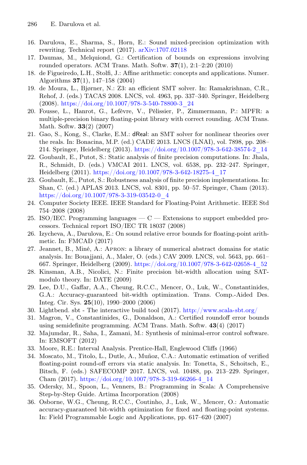- <span id="page-16-4"></span>16. Darulova, E., Sharma, S., Horn, E.: Sound mixed-precision optimization with rewriting. Technical report (2017). [arXiv:1707.02118](http://arxiv.org/abs/1707.02118)
- <span id="page-16-1"></span>17. Daumas, M., Melquiond, G.: Certification of bounds on expressions involving rounded operators. ACM Trans. Math. Softw. 37(1), 2:1–2:20 (2010)
- <span id="page-16-15"></span>18. de Figueiredo, L.H., Stolfi, J.: Affine arithmetic: concepts and applications. Numer. Algorithms 37(1), 147–158 (2004)
- <span id="page-16-9"></span>19. de Moura, L., Bjørner, N.: Z3: an efficient SMT solver. In: Ramakrishnan, C.R., Rehof, J. (eds.) TACAS 2008. LNCS, vol. 4963, pp. 337–340. Springer, Heidelberg (2008). [https://doi.org/10.1007/978-3-540-78800-3\\_24](https://doi.org/10.1007/978-3-540-78800-3_24)
- <span id="page-16-10"></span>20. Fousse, L., Hanrot, G., Lefèvre, V., Pélissier, P., Zimmermann, P.: MPFR: a multiple-precision binary floating-point library with correct rounding. ACM Trans. Math. Softw. 33(2) (2007)
- <span id="page-16-6"></span>21. Gao, S., Kong, S., Clarke, E.M.: dReal: an SMT solver for nonlinear theories over the reals. In: Bonacina, M.P. (ed.) CADE 2013. LNCS (LNAI), vol. 7898, pp. 208– 214. Springer, Heidelberg (2013). [https://doi.org/10.1007/978-3-642-38574-2\\_14](https://doi.org/10.1007/978-3-642-38574-2_14)
- <span id="page-16-0"></span>22. Goubault, E., Putot, S.: Static analysis of finite precision computations. In: Jhala, R., Schmidt, D. (eds.) VMCAI 2011. LNCS, vol. 6538, pp. 232–247. Springer, Heidelberg (2011). [https://doi.org/10.1007/978-3-642-18275-4\\_17](https://doi.org/10.1007/978-3-642-18275-4_17)
- <span id="page-16-16"></span>23. Goubault, E., Putot, S.: Robustness analysis of finite precision implementations. In: Shan, C. (ed.) APLAS 2013. LNCS, vol. 8301, pp. 50–57. Springer, Cham (2013). [https://doi.org/10.1007/978-3-319-03542-0\\_4](https://doi.org/10.1007/978-3-319-03542-0_4)
- <span id="page-16-12"></span>24. Computer Society IEEE. IEEE Standard for Floating-Point Arithmetic. IEEE Std 754–2008 (2008)
- <span id="page-16-13"></span>25. ISO/IEC. Programming languages  $-C-$  Extensions to support embedded processors. Technical report ISO/IEC TR 18037 (2008)
- <span id="page-16-7"></span>26. Izycheva, A., Darulova, E.: On sound relative error bounds for floating-point arithmetic. In: FMCAD (2017)
- <span id="page-16-20"></span>27. Jeannet, B., Miné, A.: Apron: a library of numerical abstract domains for static analysis. In: Bouajjani, A., Maler, O. (eds.) CAV 2009. LNCS, vol. 5643, pp. 661– 667. Springer, Heidelberg (2009). [https://doi.org/10.1007/978-3-642-02658-4\\_52](https://doi.org/10.1007/978-3-642-02658-4_52)
- <span id="page-16-17"></span>28. Kinsman, A.B., Nicolici, N.: Finite precision bit-width allocation using SATmodulo theory. In: DATE (2009)
- <span id="page-16-18"></span>29. Lee, D.U., Gaffar, A.A., Cheung, R.C.C., Mencer, O., Luk, W., Constantinides, G.A.: Accuracy-guaranteed bit-width optimization. Trans. Comp.-Aided Des. Integ. Cir. Sys. 25(10), 1990–2000 (2006)
- <span id="page-16-8"></span>30. Lightbend. sbt - The interactive build tool (2017). <http://www.scala-sbt.org/>
- <span id="page-16-2"></span>31. Magron, V., Constantinides, G., Donaldson, A.: Certified roundoff error bounds using semidefinite programming. ACM Trans. Math. Softw. 43(4) (2017)
- <span id="page-16-11"></span>32. Majumdar, R., Saha, I., Zamani, M.: Synthesis of minimal-error control software. In: EMSOFT (2012)
- <span id="page-16-14"></span>33. Moore, R.E.: Interval Analysis. Prentice-Hall, Englewood Cliffs (1966)
- <span id="page-16-3"></span>34. Moscato, M., Titolo, L., Dutle, A., Muñoz, C.A.: Automatic estimation of verified floating-point round-off errors via static analysis. In: Tonetta, S., Schoitsch, E., Bitsch, F. (eds.) SAFECOMP 2017. LNCS, vol. 10488, pp. 213–229. Springer, Cham (2017). [https://doi.org/10.1007/978-3-319-66266-4\\_14](https://doi.org/10.1007/978-3-319-66266-4_14)
- <span id="page-16-5"></span>35. Odersky, M., Spoon, L., Venners, B.: Programming in Scala: A Comprehensive Step-by-Step Guide. Artima Incorporation (2008)
- <span id="page-16-19"></span>36. Osborne, W.G., Cheung, R.C.C., Coutinho, J., Luk, W., Mencer, O.: Automatic accuracy-guaranteed bit-width optimization for fixed and floating-point systems. In: Field Programmable Logic and Applications, pp. 617–620 (2007)